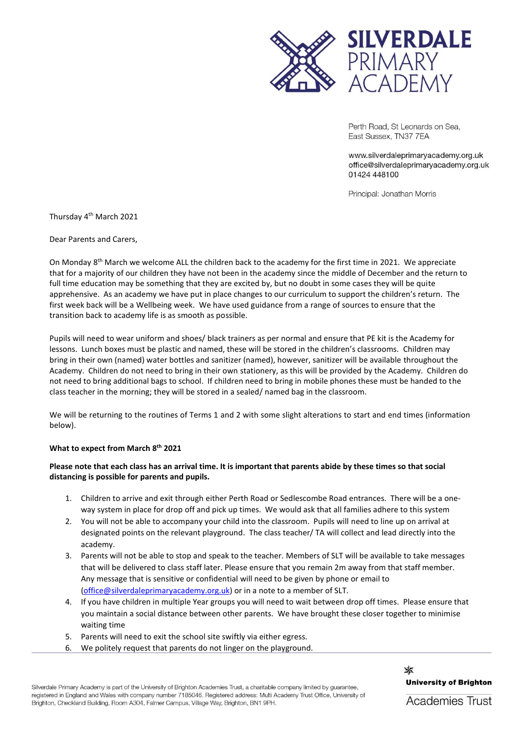

Perth Road, St Leonards on Sea, East Sussex, TN37 7EA

www.silverdaleprimaryacademy.org.uk office@silverdaleprimaryacademy.org.uk 01424 448100

Principal: Jonathan Morris

Thursday 4th March 2021

Dear Parents and Carers,

On Monday 8<sup>th</sup> March we welcome ALL the children back to the academy for the first time in 2021. We appreciate that for a majority of our children they have not been in the academy since the middle of December and the return to full time education may be something that they are excited by, but no doubt in some cases they will be quite apprehensive. As an academy we have put in place changes to our curriculum to support the children's return. The first week back will be a Wellbeing week. We have used guidance from a range of sources to ensure that the transition back to academy life is as smooth as possible.

Pupils will need to wear uniform and shoes/ black trainers as per normal and ensure that PE kit is the Academy for lessons. Lunch boxes must be plastic and named, these will be stored in the children's classrooms. Children may bring in their own (named) water bottles and sanitizer (named), however, sanitizer will be available throughout the Academy. Children do not need to bring in their own stationery, as this will be provided by the Academy. Children do not need to bring additional bags to school. If children need to bring in mobile phones these must be handed to the class teacher in the morning; they will be stored in a sealed/ named bag in the classroom.

We will be returning to the routines of Terms 1 and 2 with some slight alterations to start and end times (information below).

# **What to expect from March 8th 2021**

# **Please note that each class has an arrival time. It is important that parents abide by these times so that social distancing is possible for parents and pupils.**

- 1. Children to arrive and exit through either Perth Road or Sedlescombe Road entrances. There will be a oneway system in place for drop off and pick up times. We would ask that all families adhere to this system
- 2. You will not be able to accompany your child into the classroom. Pupils will need to line up on arrival at designated points on the relevant playground. The class teacher/ TA will collect and lead directly into the academy.
- 3. Parents will not be able to stop and speak to the teacher. Members of SLT will be available to take messages that will be delivered to class staff later. Please ensure that you remain 2m away from that staff member. Any message that is sensitive or confidential will need to be given by phone or email to [\(office@silverdaleprimaryacademy.org.uk\)](mailto:office@silverdaleprimaryacademy.org.uk) or in a note to a member of SLT.
- 4. If you have children in multiple Year groups you will need to wait between drop off times. Please ensure that you maintain a social distance between other parents. We have brought these closer together to minimise waiting time
- 5. Parents will need to exit the school site swiftly via either egress.
- 6. We politely request that parents do not linger on the playground.

✖ **University of Brighton** 

Silverdale Primary Academy is part of the University of Brighton Academies Trust, a charitable company limited by guarantee, registered in England and Wales with company number 7185046. Registered address: Multi Academy Trust Office, University of Brighton, Checkland Building, Room A304, Falmer Campus, Village Way, Brighton, BN1 9PH.

**Academies Trust**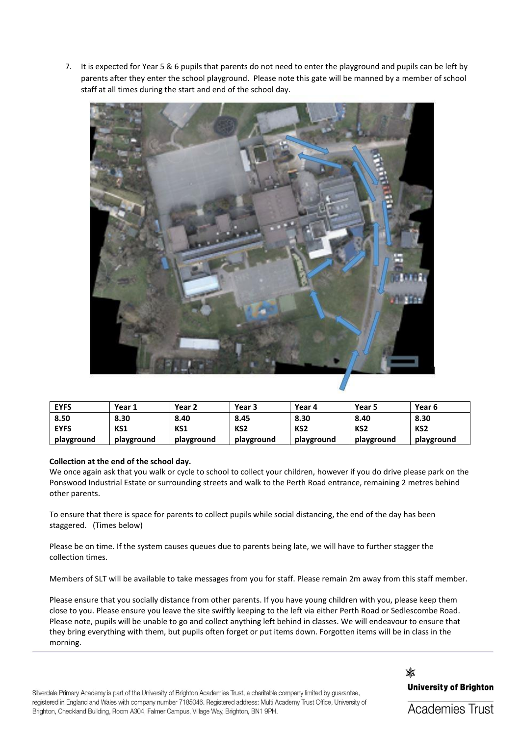7. It is expected for Year 5 & 6 pupils that parents do not need to enter the playground and pupils can be left by parents after they enter the school playground. Please note this gate will be manned by a member of school staff at all times during the start and end of the school day.



| <b>EYFS</b> | Year 1     | Year 2     | Year 3          | Year 4          | Year 5          | Year 6          |
|-------------|------------|------------|-----------------|-----------------|-----------------|-----------------|
| 8.50        | 8.30       | 8.40       | 8.45            | 8.30            | 8.40            | 8.30            |
| <b>EYFS</b> | KS1        | KS1        | KS <sub>2</sub> | KS <sub>2</sub> | KS <sub>2</sub> | KS <sub>2</sub> |
| playground  | playground | playground | playground      | playground      | playground      | playground      |

# **Collection at the end of the school day.**

We once again ask that you walk or cycle to school to collect your children, however if you do drive please park on the Ponswood Industrial Estate or surrounding streets and walk to the Perth Road entrance, remaining 2 metres behind other parents.

To ensure that there is space for parents to collect pupils while social distancing, the end of the day has been staggered. (Times below)

Please be on time. If the system causes queues due to parents being late, we will have to further stagger the collection times.

Members of SLT will be available to take messages from you for staff. Please remain 2m away from this staff member.

Please ensure that you socially distance from other parents. If you have young children with you, please keep them close to you. Please ensure you leave the site swiftly keeping to the left via either Perth Road or Sedlescombe Road. Please note, pupils will be unable to go and collect anything left behind in classes. We will endeavour to ensure that they bring everything with them, but pupils often forget or put items down. Forgotten items will be in class in the morning.

Silverdale Primary Academy is part of the University of Brighton Academies Trust, a charitable company limited by guarantee, registered in England and Wales with company number 7185046. Registered address: Multi Academy Trust Office, University of Brighton, Checkland Building, Room A304, Falmer Campus, Village Way, Brighton, BN1 9PH.